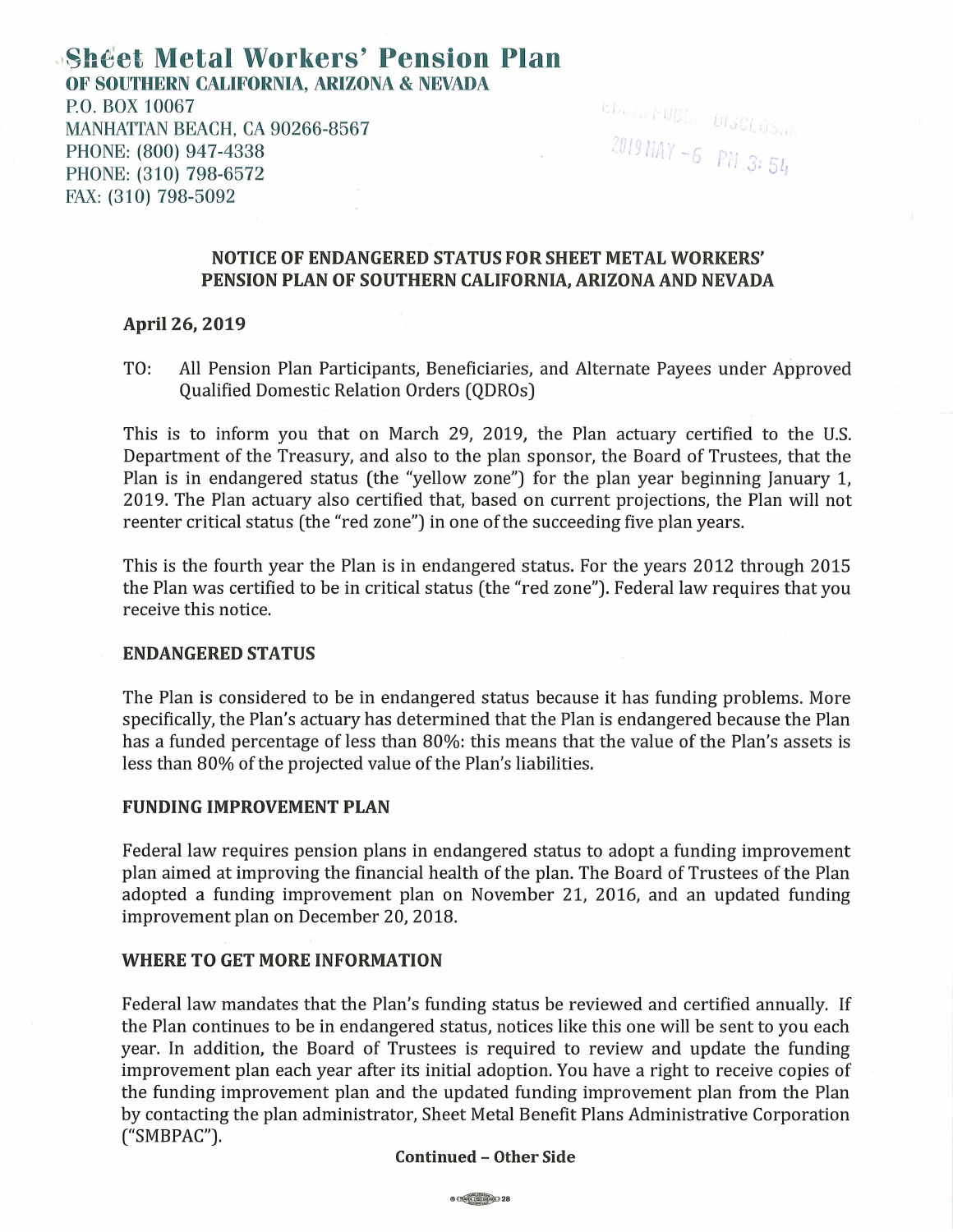# . **Sht!et Metal Workers' Pension Plan OF SOUTHERN CALIFORNIA, ARIZONA & NEVADA**  P.O. BOX 10067 MANHATTAN BEACH, CA 90266-8567 PHONE: (800) 947-4338 PHONE: (310) 798-6572 FAX: (310) 798-5092

 $-6$   $P_{H}$ ct. A. PUBL. S DISCLOSU II,  $3:54$ 

## **NOTICE OF ENDANGERED STATUS FOR SHEET METAL WORKERS' PENSION PLAN OF SOUTHERN CALIFORNIA, ARIZONA AND NEVADA**

### **April 26, 2019**

TO: All Pension Plan Participants, Beneficiaries, and Alternate Payees under Approved Qualified Domestic Relation Orders (QDROs)

This is to inform you that on March 29, 2019, the Plan actuary certified to the U.S. Department of the Treasury, and also to the plan sponsor, the Board of Trustees, that the Plan is in endangered status (the "yellow zone") for the plan year beginning January 1, 2019. The Plan actuary also certified that, based on current projections, the Plan will not reenter critical status (the "red zone") in one of the succeeding five plan years.

This is the fourth year the Plan is in endangered status. For the years 2012 through 2015 the Plan was certified to be in critical status (the "red zone"). Federal law requires that you receive this notice.

#### **ENDANGERED STATUS**

The Plan is considered to be in endangered status because it has funding problems. More specifically, the Plan's actuary has determined that the Plan is endangered because the Plan has a funded percentage of less than 80%: this means that the value of the Plan's assets is less than 80% of the projected value of the Plan's liabilities.

## **FUNDING IMPROVEMENT PLAN**

Federal law requires pension plans in endangered status to adopt a funding improvement plan aimed at improving the financial health of the plan. The Board of Trustees of the Plan adopted a funding improvement plan on November 21, 2016, and an updated funding improvement plan on December 20, 2018.

## **WHERE TO GET MORE INFORMATION**

Federal law mandates that the Plan's funding status be reviewed and certified annually. If the Plan continues to be in endangered status, notices like this one will be sent to you each year. In addition, the Board of Trustees is required to review and update the funding improvement plan each year after its initial adoption. You have a right to receive copies of the funding improvement plan and the updated funding improvement plan from the Plan by contacting the plan administrator, Sheet Metal Benefit Plans Administrative Corporation ("SMBPAC").

#### **Continued - Other Side**